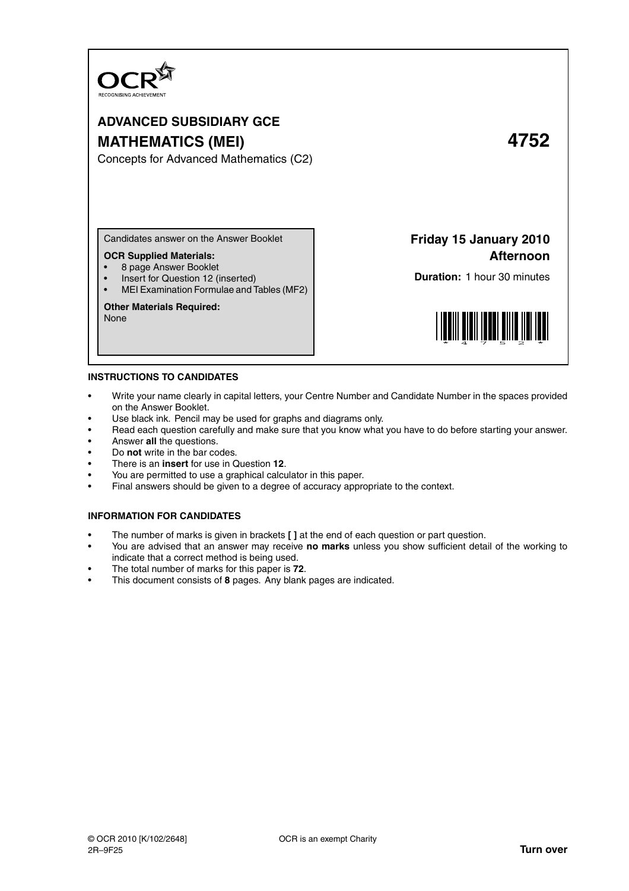

# **ADVANCED SUBSIDIARY GCE MATHEMATICS (MEI) 4752**

Concepts for Advanced Mathematics (C2)

Candidates answer on the Answer Booklet

#### **OCR Supplied Materials:**

- 8 page Answer Booklet
- Insert for Question 12 (inserted)
- MEI Examination Formulae and Tables (MF2)

#### **Other Materials Required:**

None

**Friday 15 January 2010 Afternoon**

**Duration:** 1 hour 30 minutes



#### **INSTRUCTIONS TO CANDIDATES**

- Write your name clearly in capital letters, your Centre Number and Candidate Number in the spaces provided on the Answer Booklet.
- Use black ink. Pencil may be used for graphs and diagrams only.
- Read each question carefully and make sure that you know what you have to do before starting your answer.
- Answer **all** the questions.
- Do **not** write in the bar codes.
- There is an **insert** for use in Question **12**.
- You are permitted to use a graphical calculator in this paper.
- Final answers should be given to a degree of accuracy appropriate to the context.

#### **INFORMATION FOR CANDIDATES**

- The number of marks is given in brackets **[ ]** at the end of each question or part question.
- You are advised that an answer may receive **no marks** unless you show sufficient detail of the working to indicate that a correct method is being used.
- The total number of marks for this paper is **72**.
- This document consists of **8** pages. Any blank pages are indicated.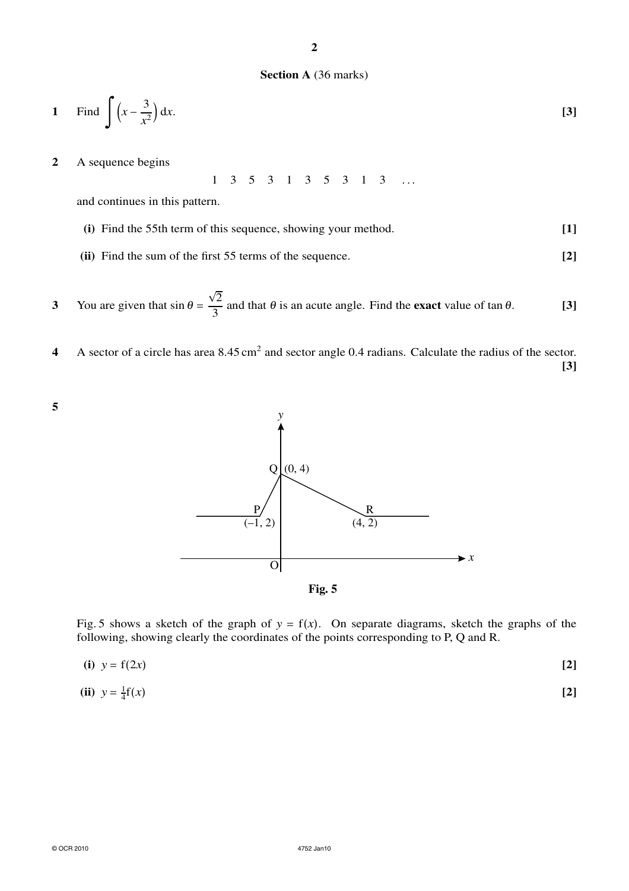#### **Section A** (36 marks)

1 Find 
$$
\int (x - \frac{3}{x^2}) dx
$$
. [3]

- **2** A sequence begins
- 1 3 5 3 1 3 5 3 1 3 ...

and continues in this pattern.

- **(i)** Find the 55th term of this sequence, showing your method. **[1]**
- **(ii)** Find the sum of the first 55 terms of the sequence. **[2]**

**3** You are given that  $\sin \theta =$  $\sqrt{2}$  $\frac{2}{3}$  and that  $\theta$  is an acute angle. Find the **exact** value of tan  $\theta$ . **[3]** 

4 A sector of a circle has area 8.45 cm<sup>2</sup> and sector angle 0.4 radians. Calculate the radius of the sector. **[3]**



Fig. 5 shows a sketch of the graph of  $y = f(x)$ . On separate diagrams, sketch the graphs of the following, showing clearly the coordinates of the points corresponding to P, Q and R.

(i) 
$$
y = f(2x)
$$
 [2]

(ii) 
$$
y = \frac{1}{4}f(x)
$$
 [2]

**5**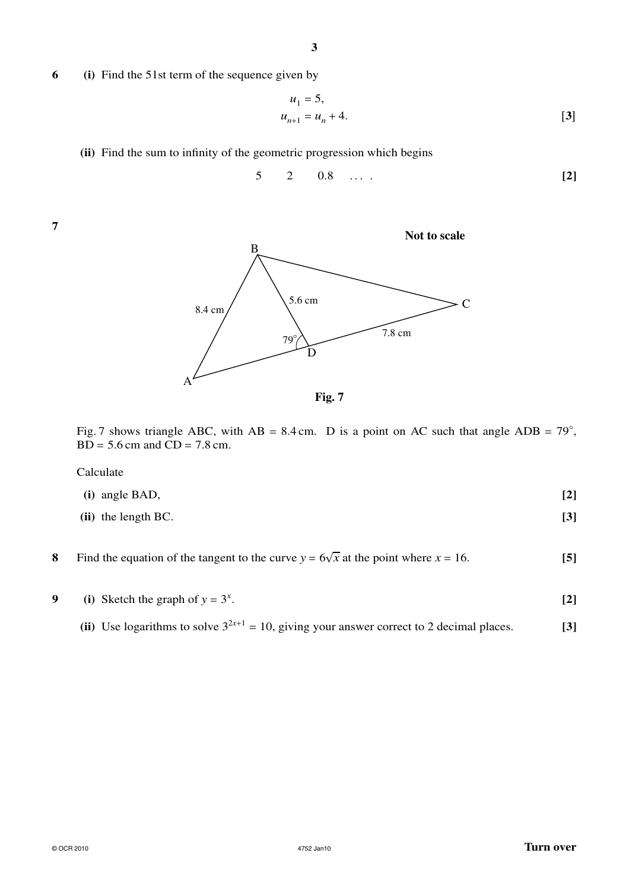**3**

**6 (i)** Find the 51st term of the sequence given by

$$
u_1 = 5,
$$
  

$$
u_{n+1} = u_n + 4.
$$
 [3]

**(ii)** Find the sum to infinity of the geometric progression which begins

$$
5 \qquad 2 \qquad 0.8 \qquad \ldots \qquad \qquad [2]
$$

**7**



Fig. 7 shows triangle ABC, with AB = 8.4 cm. D is a point on AC such that angle ADB =  $79^\circ$ ,  $BD = 5.6$  cm and  $CD = 7.8$  cm.

Calculate

| (i) angle BAD, |  |
|----------------|--|
|                |  |

**(ii)** the length BC. **[3]**

8 Find the equation of the tangent to the curve  $y = 6\sqrt{x}$  at the point where  $x = 16$ . [5]

**9** (i) Sketch the graph of  $y = 3^x$ . **[2]**

(ii) Use logarithms to solve  $3^{2x+1} = 10$ , giving your answer correct to 2 decimal places. **[3]**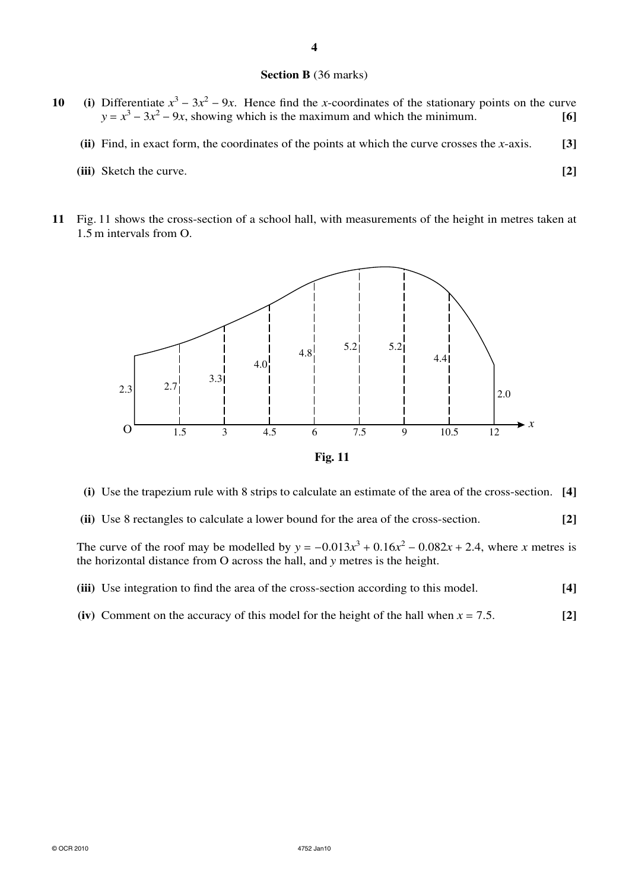#### **Section B** (36 marks)

- **10** (i) Differentiate  $x^3 3x^2 9x$ . Hence find the *x*-coordinates of the stationary points on the curve  $y = x^3 - 3x^2 - 9x$ , showing which is the maximum and which the minimum. **[6]** 
	- **(ii)** Find, in exact form, the coordinates of the points at which the curve crosses the *x*-axis. **[3]**
	- **(iii)** Sketch the curve. **[2]**
- **11** Fig. 11 shows the cross-section of a school hall, with measurements of the height in metres taken at 1.5 m intervals from O.



**(i)** Use the trapezium rule with 8 strips to calculate an estimate of the area of the cross-section. **[4]**

**(ii)** Use 8 rectangles to calculate a lower bound for the area of the cross-section. **[2]**

The curve of the roof may be modelled by  $y = -0.013x^3 + 0.16x^2 - 0.082x + 2.4$ , where *x* metres is the horizontal distance from O across the hall, and *y* metres is the height.

- **(iii)** Use integration to find the area of the cross-section according to this model. **[4]**
- **(iv)** Comment on the accuracy of this model for the height of the hall when *x* = 7.5. **[2]**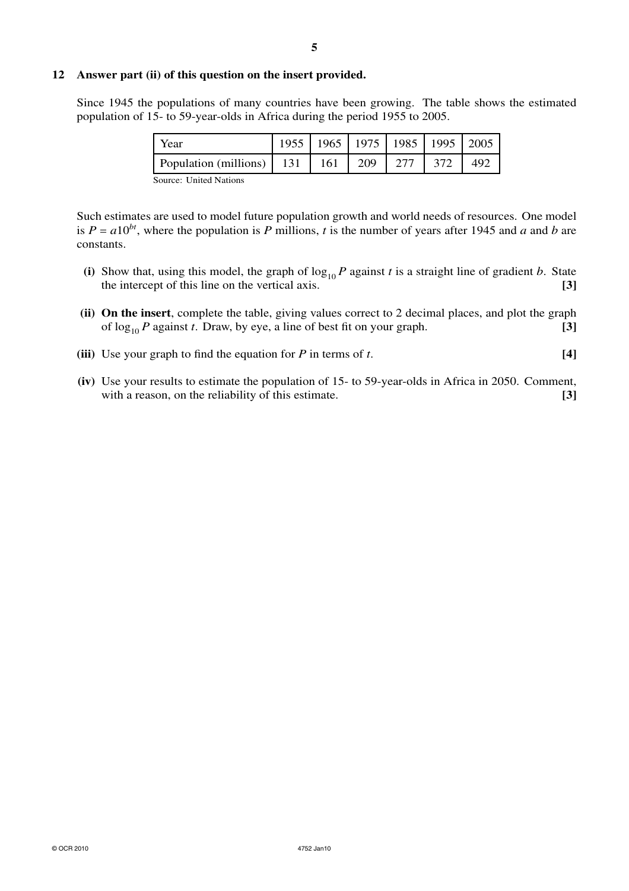#### **12 Answer part (ii) of this question on the insert provided.**

Since 1945 the populations of many countries have been growing. The table shows the estimated population of 15- to 59-year-olds in Africa during the period 1955 to 2005.

| Year                              | 1955 |  |     |             | 1965   1975   1985   1995 | $\frac{12005}{ }$ |  |  |
|-----------------------------------|------|--|-----|-------------|---------------------------|-------------------|--|--|
| Population (millions)   131   161 |      |  | 209 | $\vert$ 277 |                           |                   |  |  |
| Source: United Nations            |      |  |     |             |                           |                   |  |  |

Such estimates are used to model future population growth and world needs of resources. One model is  $P = a10^{bt}$ , where the population is *P* millions, *t* is the number of years after 1945 and *a* and *b* are constants.

- (i) Show that, using this model, the graph of  $\log_{10} P$  against *t* is a straight line of gradient *b*. State the intercept of this line on the vertical axis. [3] the intercept of this line on the vertical axis. **[3]**
- **(ii) On the insert**, complete the table, giving values correct to 2 decimal places, and plot the graph of  $\log_{10} P$  against *t*. Draw, by eye, a line of best fit on your graph. **[3]**
- **(iii)** Use your graph to find the equation for *P* in terms of *t*. **[4]**
- **(iv)** Use your results to estimate the population of 15- to 59-year-olds in Africa in 2050. Comment, with a reason, on the reliability of this estimate. **[3]** [3]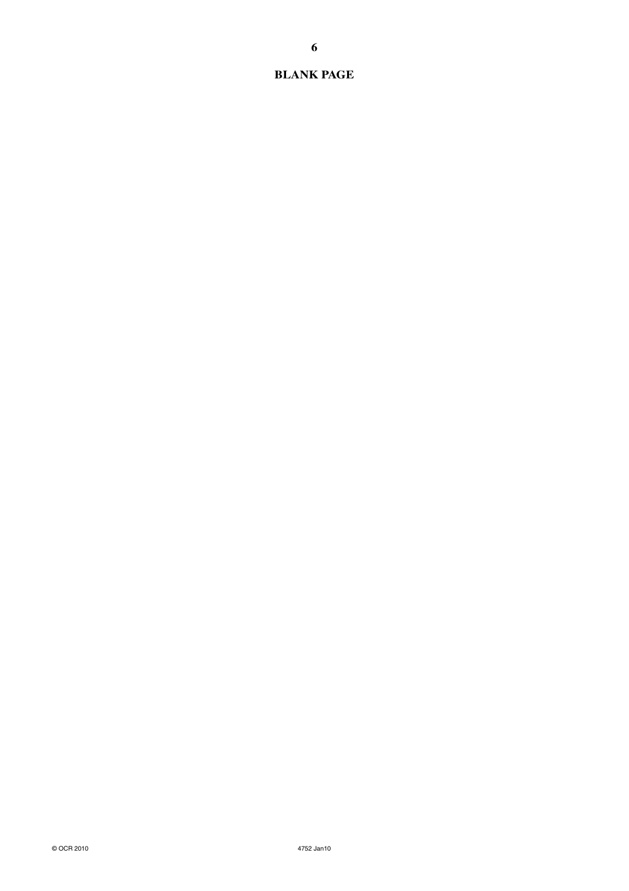## **BLANK PAGE**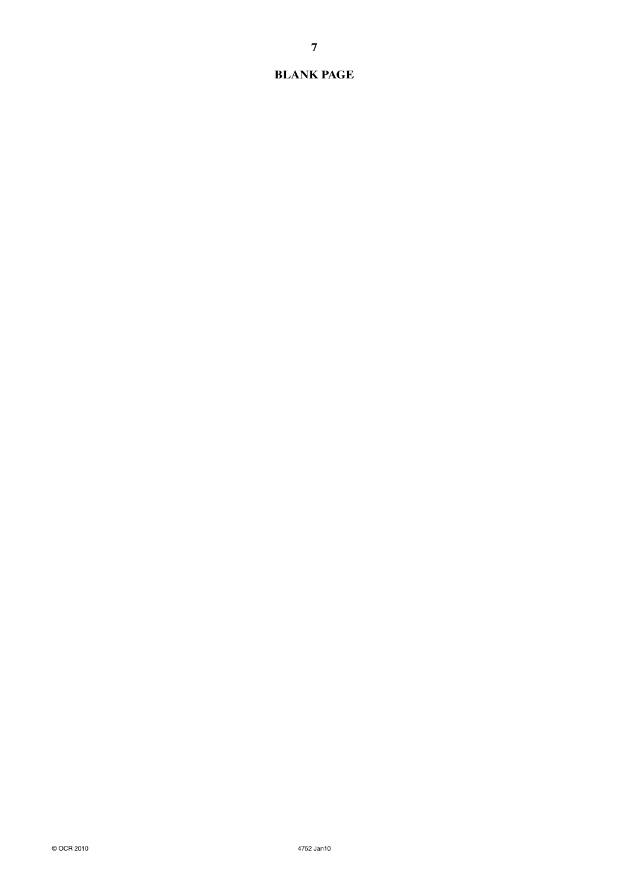## **BLANK PAGE**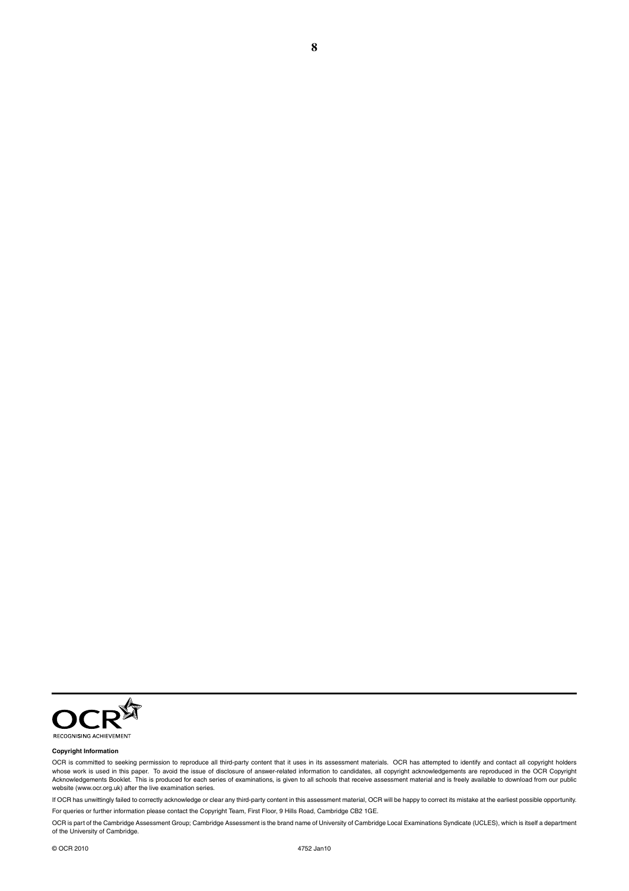

#### **Copyright Information**

OCR is committed to seeking permission to reproduce all third-party content that it uses in its assessment materials. OCR has attempted to identify and contact all copyright holders whose work is used in this paper. To avoid the issue of disclosure of answer-related information to candidates, all copyright acknowledgements are reproduced in the OCR Copyright Acknowledgements Booklet. This is produced for each series of examinations, is given to all schools that receive assessment material and is freely available to download from our public<br>website (www.ocr.org.uk) after the li

**8**

If OCR has unwittingly failed to correctly acknowledge or clear any third-party content in this assessment material, OCR will be happy to correct its mistake at the earliest possible opportunity.

For queries or further information please contact the Copyright Team, First Floor, 9 Hills Road, Cambridge CB2 1GE.

OCR is part of the Cambridge Assessment Group; Cambridge Assessment is the brand name of University of Cambridge Local Examinations Syndicate (UCLES), which is itself a department of the University of Cambridge.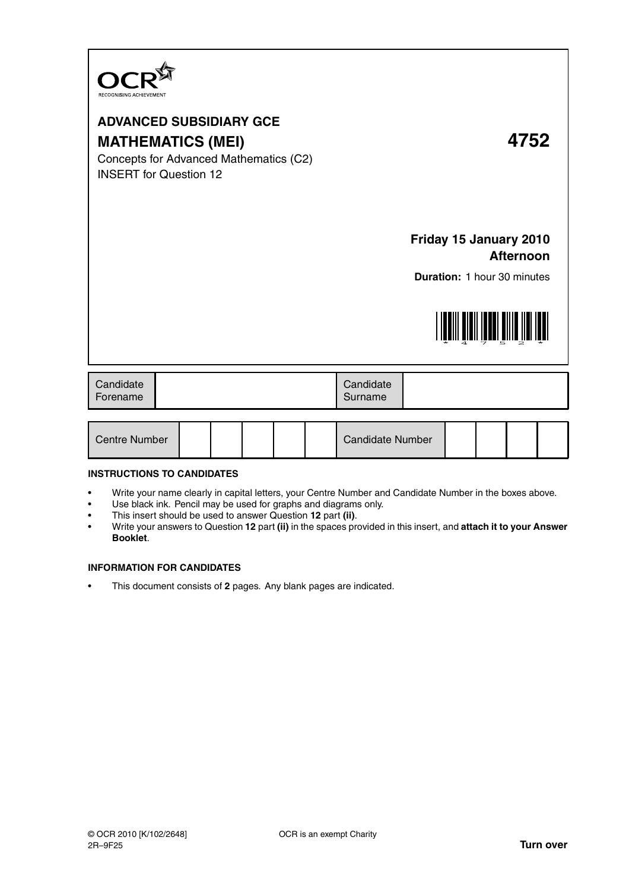

# **ADVANCED SUBSIDIARY GCE**

## **MATHEMATICS (MEI) 4752**

Concepts for Advanced Mathematics (C2) INSERT for Question 12

## **Friday 15 January 2010 Afternoon**

**Duration:** 1 hour 30 minutes



| Candidate | Candidate |
|-----------|-----------|
| Forename  | Surname   |

| Centre Number |  |  |  |  |  | <b>Candidate Number</b> |  |  |  |  |
|---------------|--|--|--|--|--|-------------------------|--|--|--|--|
|---------------|--|--|--|--|--|-------------------------|--|--|--|--|

#### **INSTRUCTIONS TO CANDIDATES**

- Write your name clearly in capital letters, your Centre Number and Candidate Number in the boxes above.
- Use black ink. Pencil may be used for graphs and diagrams only.
- This insert should be used to answer Question **12** part **(ii)**.
- Write your answers to Question **12** part **(ii)** in the spaces provided in this insert, and **attach it to your Answer Booklet**.

#### **INFORMATION FOR CANDIDATES**

• This document consists of **2** pages. Any blank pages are indicated.